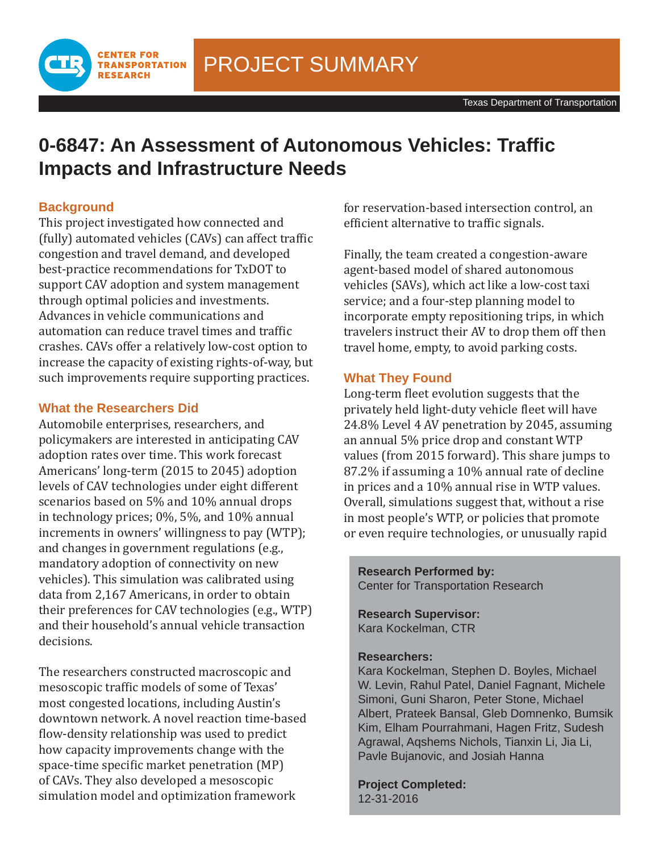PROJECT SUMMARY

# **0-6847: An Assessment of Autonomous Vehicles: Traffi c Impacts and Infrastructure Needs**

## **Background**

This project investigated how connected and (fully) automated vehicles (CAVs) can affect traffic congestion and travel demand, and developed best-practice recommendations for TxDOT to support CAV adoption and system management through optimal policies and investments. Advances in vehicle communications and automation can reduce travel times and traffic crashes. CAVs offer a relatively low-cost option to increase the capacity of existing rights-of-way, but such improvements require supporting practices.

### **What the Researchers Did**

**CENTER FOR TRANSPORTATION RESEARCH** 

Automobile enterprises, researchers, and policymakers are interested in anticipating CAV adoption rates over time. This work forecast Americans' long-term (2015 to 2045) adoption levels of CAV technologies under eight different scenarios based on 5% and 10% annual drops in technology prices; 0%, 5%, and 10% annual increments in owners' willingness to pay (WTP); and changes in government regulations (e.g., mandatory adoption of connectivity on new vehicles). This simulation was calibrated using data from 2,167 Americans, in order to obtain their preferences for CAV technologies (e.g., WTP) and their household's annual vehicle transaction decisions.

The researchers constructed macroscopic and mesoscopic traffic models of some of Texas' most congested locations, including Austin's downtown network. A novel reaction time-based flow-density relationship was used to predict how capacity improvements change with the space-time specific market penetration (MP) of CAVs. They also developed a mesoscopic simulation model and optimization framework

for reservation-based intersection control, an efficient alternative to traffic signals.

Finally, the team created a congestion-aware agent-based model of shared autonomous vehicles (SAVs), which act like a low-cost taxi service; and a four-step planning model to incorporate empty repositioning trips, in which travelers instruct their AV to drop them off then travel home, empty, to avoid parking costs.

### **What They Found**

Long-term fleet evolution suggests that the privately held light-duty vehicle fleet will have 24.8% Level 4 AV penetration by 2045, assuming an annual 5% price drop and constant WTP values (from 2015 forward). This share jumps to 87.2% if assuming a 10% annual rate of decline in prices and a 10% annual rise in WTP values. Overall, simulations suggest that, without a rise in most people's WTP, or policies that promote or even require technologies, or unusually rapid

**Research Performed by:** Center for Transportation Research

**Research Supervisor:** Kara Kockelman, CTR

#### **Researchers:**

Kara Kockelman, Stephen D. Boyles, Michael W. Levin, Rahul Patel, Daniel Fagnant, Michele Simoni, Guni Sharon, Peter Stone, Michael Albert, Prateek Bansal, Gleb Domnenko, Bumsik Kim, Elham Pourrahmani, Hagen Fritz, Sudesh Agrawal, Aqshems Nichols, Tianxin Li, Jia Li, Pavle Bujanovic, and Josiah Hanna

**Project Completed:** 12-31-2016